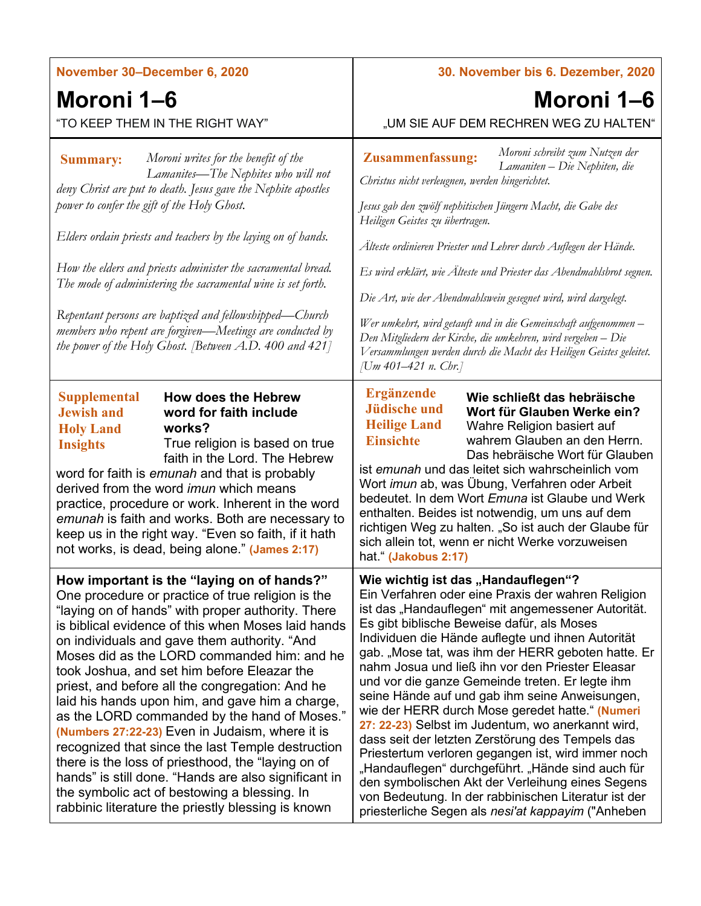| November 30-December 6, 2020                                                                                                                                                                                                                                                                                                                                                                                                                                                                                                                                                                                                                                                                                                                                                                                                               | 30. November bis 6. Dezember, 2020                                                                                                                                                                                                                                                                                                                                                                                                                                                                                                                                                                                                                                                                                                                                                                                                                                                                         |
|--------------------------------------------------------------------------------------------------------------------------------------------------------------------------------------------------------------------------------------------------------------------------------------------------------------------------------------------------------------------------------------------------------------------------------------------------------------------------------------------------------------------------------------------------------------------------------------------------------------------------------------------------------------------------------------------------------------------------------------------------------------------------------------------------------------------------------------------|------------------------------------------------------------------------------------------------------------------------------------------------------------------------------------------------------------------------------------------------------------------------------------------------------------------------------------------------------------------------------------------------------------------------------------------------------------------------------------------------------------------------------------------------------------------------------------------------------------------------------------------------------------------------------------------------------------------------------------------------------------------------------------------------------------------------------------------------------------------------------------------------------------|
| Moroni 1–6                                                                                                                                                                                                                                                                                                                                                                                                                                                                                                                                                                                                                                                                                                                                                                                                                                 | Moroni 1–6                                                                                                                                                                                                                                                                                                                                                                                                                                                                                                                                                                                                                                                                                                                                                                                                                                                                                                 |
| "TO KEEP THEM IN THE RIGHT WAY"                                                                                                                                                                                                                                                                                                                                                                                                                                                                                                                                                                                                                                                                                                                                                                                                            | "UM SIE AUF DEM RECHREN WEG ZU HALTEN"                                                                                                                                                                                                                                                                                                                                                                                                                                                                                                                                                                                                                                                                                                                                                                                                                                                                     |
| Moroni writes for the benefit of the<br><b>Summary:</b><br>Lamanites—The Nephites who will not<br>deny Christ are put to death. Jesus gave the Nephite apostles<br>power to confer the gift of the Holy Ghost.<br>Elders ordain priests and teachers by the laying on of hands.<br>How the elders and priests administer the sacramental bread.<br>The mode of administering the sacramental wine is set forth.<br>Repentant persons are baptized and fellowshipped-Church<br>members who repent are forgiven-Meetings are conducted by<br>the power of the Holy Ghost. [Between $A.D.$ 400 and 421]                                                                                                                                                                                                                                       | Moroni schreibt zum Nutzen der<br>Zusammenfassung:<br>Lamaniten - Die Nephiten, die<br>Christus nicht verleugnen, werden hingerichtet.<br>Jesus gab den zwölf nephitischen Jüngern Macht, die Gabe des<br>Heiligen Geistes zu übertragen.<br>Älteste ordinieren Priester und Lehrer durch Auflegen der Hände.<br>Es wird erklärt, wie Älteste und Priester das Abendmahlsbrot segnen.<br>Die Art, wie der Abendmahlswein gesegnet wird, wird dargelegt.<br>Wer umkehrt, wird getauft und in die Gemeinschaft aufgenommen-<br>Den Mitgliedern der Kirche, die umkehren, wird vergeben – Die<br>Versammlungen werden durch die Macht des Heiligen Geistes geleitet.<br>[Um 401–421 n. Chr.]                                                                                                                                                                                                                  |
| <b>Supplemental</b><br><b>How does the Hebrew</b><br><b>Jewish and</b><br>word for faith include<br>works?<br><b>Holy Land</b><br>True religion is based on true<br><b>Insights</b><br>faith in the Lord. The Hebrew<br>word for faith is emunah and that is probably<br>derived from the word <i>imun</i> which means<br>practice, procedure or work. Inherent in the word<br>emunah is faith and works. Both are necessary to<br>keep us in the right way. "Even so faith, if it hath<br>not works, is dead, being alone." (James 2:17)                                                                                                                                                                                                                                                                                                  | <b>Ergänzende</b><br>Wie schließt das hebräische<br><b>Jüdische und</b><br>Wort für Glauben Werke ein?<br><b>Heilige Land</b><br>Wahre Religion basiert auf<br>wahrem Glauben an den Herrn.<br><b>Einsichte</b><br>Das hebräische Wort für Glauben<br>ist emunah und das leitet sich wahrscheinlich vom<br>Wort <i>imun</i> ab, was Übung, Verfahren oder Arbeit<br>bedeutet. In dem Wort Emuna ist Glaube und Werk<br>enthalten. Beides ist notwendig, um uns auf dem<br>richtigen Weg zu halten. "So ist auch der Glaube für<br>sich allein tot, wenn er nicht Werke vorzuweisen<br>hat." (Jakobus 2:17)                                                                                                                                                                                                                                                                                                 |
| How important is the "laying on of hands?"<br>One procedure or practice of true religion is the<br>"laying on of hands" with proper authority. There<br>is biblical evidence of this when Moses laid hands<br>on individuals and gave them authority. "And<br>Moses did as the LORD commanded him: and he<br>took Joshua, and set him before Eleazar the<br>priest, and before all the congregation: And he<br>laid his hands upon him, and gave him a charge,<br>as the LORD commanded by the hand of Moses."<br>(Numbers 27:22-23) Even in Judaism, where it is<br>recognized that since the last Temple destruction<br>there is the loss of priesthood, the "laying on of<br>hands" is still done. "Hands are also significant in<br>the symbolic act of bestowing a blessing. In<br>rabbinic literature the priestly blessing is known | Wie wichtig ist das "Handauflegen"?<br>Ein Verfahren oder eine Praxis der wahren Religion<br>ist das "Handauflegen" mit angemessener Autorität.<br>Es gibt biblische Beweise dafür, als Moses<br>Individuen die Hände auflegte und ihnen Autorität<br>gab. "Mose tat, was ihm der HERR geboten hatte. Er<br>nahm Josua und ließ ihn vor den Priester Eleasar<br>und vor die ganze Gemeinde treten. Er legte ihm<br>seine Hände auf und gab ihm seine Anweisungen,<br>wie der HERR durch Mose geredet hatte." (Numeri<br>27: 22-23) Selbst im Judentum, wo anerkannt wird,<br>dass seit der letzten Zerstörung des Tempels das<br>Priestertum verloren gegangen ist, wird immer noch<br>"Handauflegen" durchgeführt. "Hände sind auch für<br>den symbolischen Akt der Verleihung eines Segens<br>von Bedeutung. In der rabbinischen Literatur ist der<br>priesterliche Segen als nesi'at kappayim ("Anheben |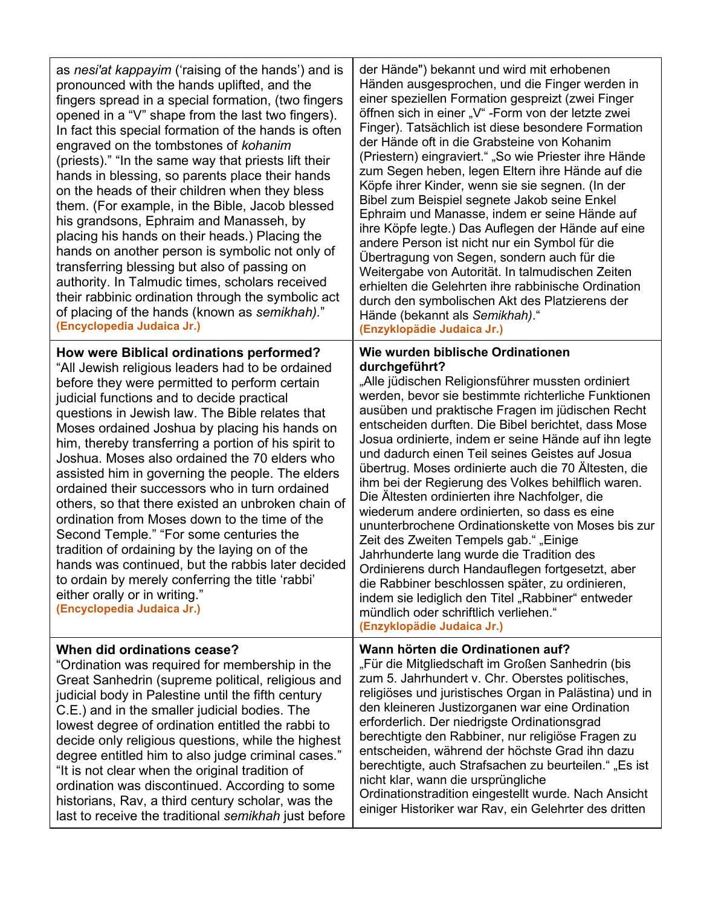| as nesi'at kappayim ('raising of the hands') and is<br>pronounced with the hands uplifted, and the<br>fingers spread in a special formation, (two fingers<br>opened in a "V" shape from the last two fingers).<br>In fact this special formation of the hands is often<br>engraved on the tombstones of kohanim<br>(priests)." "In the same way that priests lift their<br>hands in blessing, so parents place their hands<br>on the heads of their children when they bless<br>them. (For example, in the Bible, Jacob blessed<br>his grandsons, Ephraim and Manasseh, by<br>placing his hands on their heads.) Placing the<br>hands on another person is symbolic not only of<br>transferring blessing but also of passing on<br>authority. In Talmudic times, scholars received<br>their rabbinic ordination through the symbolic act<br>of placing of the hands (known as semikhah)."<br>(Encyclopedia Judaica Jr.) | der Hände") bekannt und wird mit erhobenen<br>Händen ausgesprochen, und die Finger werden in<br>einer speziellen Formation gespreizt (zwei Finger<br>öffnen sich in einer "V" - Form von der letzte zwei<br>Finger). Tatsächlich ist diese besondere Formation<br>der Hände oft in die Grabsteine von Kohanim<br>(Priestern) eingraviert." "So wie Priester ihre Hände<br>zum Segen heben, legen Eltern ihre Hände auf die<br>Köpfe ihrer Kinder, wenn sie sie segnen. (In der<br>Bibel zum Beispiel segnete Jakob seine Enkel<br>Ephraim und Manasse, indem er seine Hände auf<br>ihre Köpfe legte.) Das Auflegen der Hände auf eine<br>andere Person ist nicht nur ein Symbol für die<br>Übertragung von Segen, sondern auch für die<br>Weitergabe von Autorität. In talmudischen Zeiten<br>erhielten die Gelehrten ihre rabbinische Ordination<br>durch den symbolischen Akt des Platzierens der<br>Hände (bekannt als Semikhah)."<br>(Enzyklopädie Judaica Jr.)                 |
|-------------------------------------------------------------------------------------------------------------------------------------------------------------------------------------------------------------------------------------------------------------------------------------------------------------------------------------------------------------------------------------------------------------------------------------------------------------------------------------------------------------------------------------------------------------------------------------------------------------------------------------------------------------------------------------------------------------------------------------------------------------------------------------------------------------------------------------------------------------------------------------------------------------------------|-------------------------------------------------------------------------------------------------------------------------------------------------------------------------------------------------------------------------------------------------------------------------------------------------------------------------------------------------------------------------------------------------------------------------------------------------------------------------------------------------------------------------------------------------------------------------------------------------------------------------------------------------------------------------------------------------------------------------------------------------------------------------------------------------------------------------------------------------------------------------------------------------------------------------------------------------------------------------------------|
| How were Biblical ordinations performed?<br>"All Jewish religious leaders had to be ordained<br>before they were permitted to perform certain<br>judicial functions and to decide practical<br>questions in Jewish law. The Bible relates that<br>Moses ordained Joshua by placing his hands on<br>him, thereby transferring a portion of his spirit to<br>Joshua. Moses also ordained the 70 elders who<br>assisted him in governing the people. The elders<br>ordained their successors who in turn ordained<br>others, so that there existed an unbroken chain of<br>ordination from Moses down to the time of the<br>Second Temple." "For some centuries the<br>tradition of ordaining by the laying on of the<br>hands was continued, but the rabbis later decided<br>to ordain by merely conferring the title 'rabbi'<br>either orally or in writing."<br>(Encyclopedia Judaica Jr.)                              | Wie wurden biblische Ordinationen<br>durchgeführt?<br>"Alle jüdischen Religionsführer mussten ordiniert<br>werden, bevor sie bestimmte richterliche Funktionen<br>ausüben und praktische Fragen im jüdischen Recht<br>entscheiden durften. Die Bibel berichtet, dass Mose<br>Josua ordinierte, indem er seine Hände auf ihn legte<br>und dadurch einen Teil seines Geistes auf Josua<br>übertrug. Moses ordinierte auch die 70 Ältesten, die<br>ihm bei der Regierung des Volkes behilflich waren.<br>Die Ältesten ordinierten ihre Nachfolger, die<br>wiederum andere ordinierten, so dass es eine<br>ununterbrochene Ordinationskette von Moses bis zur<br>Zeit des Zweiten Tempels gab." "Einige<br>Jahrhunderte lang wurde die Tradition des<br>Ordinierens durch Handauflegen fortgesetzt, aber<br>die Rabbiner beschlossen später, zu ordinieren,<br>indem sie lediglich den Titel "Rabbiner" entweder<br>mündlich oder schriftlich verliehen."<br>(Enzyklopädie Judaica Jr.) |
| When did ordinations cease?<br>"Ordination was required for membership in the<br>Great Sanhedrin (supreme political, religious and<br>judicial body in Palestine until the fifth century<br>C.E.) and in the smaller judicial bodies. The<br>lowest degree of ordination entitled the rabbi to<br>decide only religious questions, while the highest<br>degree entitled him to also judge criminal cases."<br>"It is not clear when the original tradition of<br>ordination was discontinued. According to some<br>historians, Rav, a third century scholar, was the<br>last to receive the traditional semikhah just before                                                                                                                                                                                                                                                                                            | Wann hörten die Ordinationen auf?<br>"Für die Mitgliedschaft im Großen Sanhedrin (bis<br>zum 5. Jahrhundert v. Chr. Oberstes politisches,<br>religiöses und juristisches Organ in Palästina) und in<br>den kleineren Justizorganen war eine Ordination<br>erforderlich. Der niedrigste Ordinationsgrad<br>berechtigte den Rabbiner, nur religiöse Fragen zu<br>entscheiden, während der höchste Grad ihn dazu<br>berechtigte, auch Strafsachen zu beurteilen." "Es ist<br>nicht klar, wann die ursprüngliche<br>Ordinationstradition eingestellt wurde. Nach Ansicht<br>einiger Historiker war Rav, ein Gelehrter des dritten                                                                                                                                                                                                                                                                                                                                                       |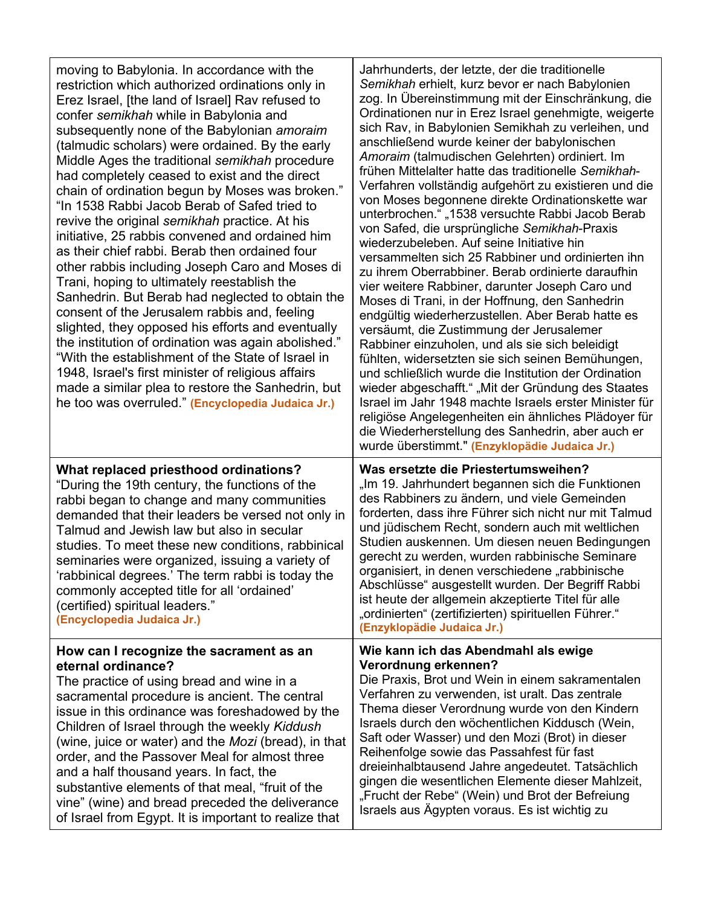| moving to Babylonia. In accordance with the<br>restriction which authorized ordinations only in<br>Erez Israel, [the land of Israel] Rav refused to<br>confer semikhah while in Babylonia and<br>subsequently none of the Babylonian amoraim<br>(talmudic scholars) were ordained. By the early<br>Middle Ages the traditional semikhah procedure<br>had completely ceased to exist and the direct<br>chain of ordination begun by Moses was broken."<br>"In 1538 Rabbi Jacob Berab of Safed tried to<br>revive the original semikhah practice. At his<br>initiative, 25 rabbis convened and ordained him<br>as their chief rabbi. Berab then ordained four<br>other rabbis including Joseph Caro and Moses di<br>Trani, hoping to ultimately reestablish the<br>Sanhedrin. But Berab had neglected to obtain the<br>consent of the Jerusalem rabbis and, feeling<br>slighted, they opposed his efforts and eventually<br>the institution of ordination was again abolished."<br>"With the establishment of the State of Israel in<br>1948, Israel's first minister of religious affairs<br>made a similar plea to restore the Sanhedrin, but<br>he too was overruled." (Encyclopedia Judaica Jr.) | Jahrhunderts, der letzte, der die traditionelle<br>Semikhah erhielt, kurz bevor er nach Babylonien<br>zog. In Übereinstimmung mit der Einschränkung, die<br>Ordinationen nur in Erez Israel genehmigte, weigerte<br>sich Rav, in Babylonien Semikhah zu verleihen, und<br>anschließend wurde keiner der babylonischen<br>Amoraim (talmudischen Gelehrten) ordiniert. Im<br>frühen Mittelalter hatte das traditionelle Semikhah-<br>Verfahren vollständig aufgehört zu existieren und die<br>von Moses begonnene direkte Ordinationskette war<br>unterbrochen." "1538 versuchte Rabbi Jacob Berab<br>von Safed, die ursprüngliche Semikhah-Praxis<br>wiederzubeleben. Auf seine Initiative hin<br>versammelten sich 25 Rabbiner und ordinierten ihn<br>zu ihrem Oberrabbiner. Berab ordinierte daraufhin<br>vier weitere Rabbiner, darunter Joseph Caro und<br>Moses di Trani, in der Hoffnung, den Sanhedrin<br>endgültig wiederherzustellen. Aber Berab hatte es<br>versäumt, die Zustimmung der Jerusalemer<br>Rabbiner einzuholen, und als sie sich beleidigt<br>fühlten, widersetzten sie sich seinen Bemühungen,<br>und schließlich wurde die Institution der Ordination<br>wieder abgeschafft." "Mit der Gründung des Staates<br>Israel im Jahr 1948 machte Israels erster Minister für<br>religiöse Angelegenheiten ein ähnliches Plädoyer für<br>die Wiederherstellung des Sanhedrin, aber auch er<br>wurde überstimmt." (Enzyklopädie Judaica Jr.) |
|----------------------------------------------------------------------------------------------------------------------------------------------------------------------------------------------------------------------------------------------------------------------------------------------------------------------------------------------------------------------------------------------------------------------------------------------------------------------------------------------------------------------------------------------------------------------------------------------------------------------------------------------------------------------------------------------------------------------------------------------------------------------------------------------------------------------------------------------------------------------------------------------------------------------------------------------------------------------------------------------------------------------------------------------------------------------------------------------------------------------------------------------------------------------------------------------------|-------------------------------------------------------------------------------------------------------------------------------------------------------------------------------------------------------------------------------------------------------------------------------------------------------------------------------------------------------------------------------------------------------------------------------------------------------------------------------------------------------------------------------------------------------------------------------------------------------------------------------------------------------------------------------------------------------------------------------------------------------------------------------------------------------------------------------------------------------------------------------------------------------------------------------------------------------------------------------------------------------------------------------------------------------------------------------------------------------------------------------------------------------------------------------------------------------------------------------------------------------------------------------------------------------------------------------------------------------------------------------------------------------------------------------------------------------------|
| What replaced priesthood ordinations?<br>"During the 19th century, the functions of the<br>rabbi began to change and many communities<br>demanded that their leaders be versed not only in<br>Talmud and Jewish law but also in secular<br>studies. To meet these new conditions, rabbinical<br>seminaries were organized, issuing a variety of<br>'rabbinical degrees.' The term rabbi is today the<br>commonly accepted title for all 'ordained'<br>(certified) spiritual leaders."<br>(Encyclopedia Judaica Jr.)                                                                                                                                                                                                                                                                                                                                                                                                                                                                                                                                                                                                                                                                                | Was ersetzte die Priestertumsweihen?<br>"Im 19. Jahrhundert begannen sich die Funktionen<br>des Rabbiners zu ändern, und viele Gemeinden<br>forderten, dass ihre Führer sich nicht nur mit Talmud<br>und jüdischem Recht, sondern auch mit weltlichen<br>Studien auskennen. Um diesen neuen Bedingungen<br>gerecht zu werden, wurden rabbinische Seminare<br>organisiert, in denen verschiedene "rabbinische<br>Abschlüsse" ausgestellt wurden. Der Begriff Rabbi<br>ist heute der allgemein akzeptierte Titel für alle<br>"ordinierten" (zertifizierten) spirituellen Führer."<br>(Enzyklopädie Judaica Jr.)                                                                                                                                                                                                                                                                                                                                                                                                                                                                                                                                                                                                                                                                                                                                                                                                                                               |
| How can I recognize the sacrament as an<br>eternal ordinance?<br>The practice of using bread and wine in a<br>sacramental procedure is ancient. The central<br>issue in this ordinance was foreshadowed by the<br>Children of Israel through the weekly Kiddush<br>(wine, juice or water) and the Mozi (bread), in that<br>order, and the Passover Meal for almost three<br>and a half thousand years. In fact, the<br>substantive elements of that meal, "fruit of the<br>vine" (wine) and bread preceded the deliverance<br>of Israel from Egypt. It is important to realize that                                                                                                                                                                                                                                                                                                                                                                                                                                                                                                                                                                                                                | Wie kann ich das Abendmahl als ewige<br>Verordnung erkennen?<br>Die Praxis, Brot und Wein in einem sakramentalen<br>Verfahren zu verwenden, ist uralt. Das zentrale<br>Thema dieser Verordnung wurde von den Kindern<br>Israels durch den wöchentlichen Kiddusch (Wein,<br>Saft oder Wasser) und den Mozi (Brot) in dieser<br>Reihenfolge sowie das Passahfest für fast<br>dreieinhalbtausend Jahre angedeutet. Tatsächlich<br>gingen die wesentlichen Elemente dieser Mahlzeit,<br>"Frucht der Rebe" (Wein) und Brot der Befreiung<br>Israels aus Ägypten voraus. Es ist wichtig zu                                                                                                                                                                                                                                                                                                                                                                                                                                                                                                                                                                                                                                                                                                                                                                                                                                                                        |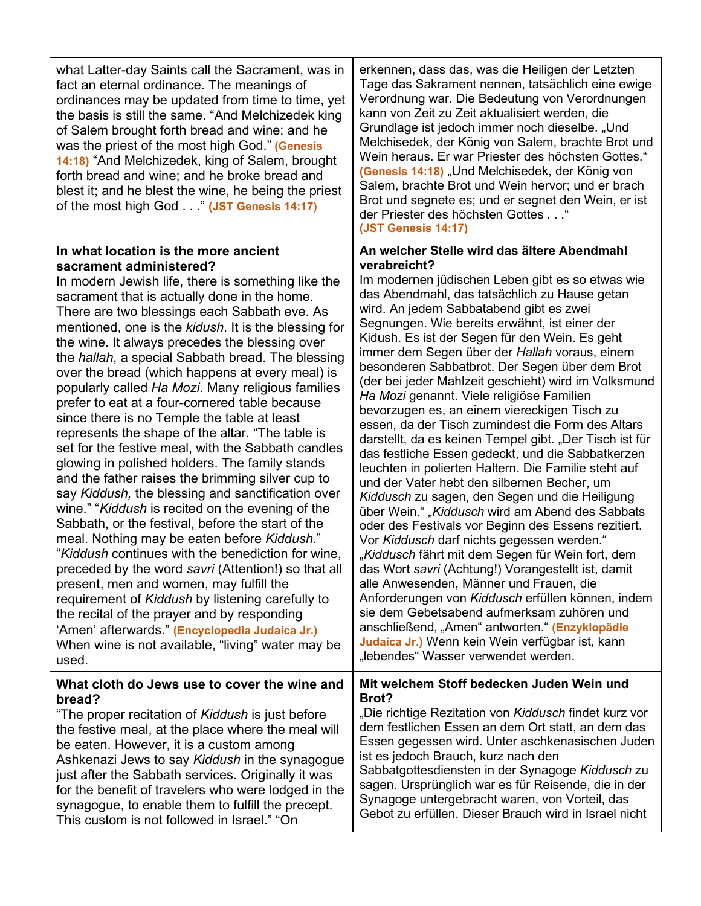| what Latter-day Saints call the Sacrament, was in<br>fact an eternal ordinance. The meanings of<br>ordinances may be updated from time to time, yet<br>the basis is still the same. "And Melchizedek king<br>of Salem brought forth bread and wine: and he<br>was the priest of the most high God." (Genesis<br>14:18) "And Melchizedek, king of Salem, brought<br>forth bread and wine; and he broke bread and<br>blest it; and he blest the wine, he being the priest<br>of the most high God" (JST Genesis 14:17)                                                                                                                                                                                                                                                                                                                                                                                                                                                                                                                                                                                                                                                                                                                                                                                                                                                                                         | erkennen, dass das, was die Heiligen der Letzten<br>Tage das Sakrament nennen, tatsächlich eine ewige<br>Verordnung war. Die Bedeutung von Verordnungen<br>kann von Zeit zu Zeit aktualisiert werden, die<br>Grundlage ist jedoch immer noch dieselbe. "Und<br>Melchisedek, der König von Salem, brachte Brot und<br>Wein heraus. Er war Priester des höchsten Gottes."<br>(Genesis 14:18) "Und Melchisedek, der König von<br>Salem, brachte Brot und Wein hervor; und er brach<br>Brot und segnete es; und er segnet den Wein, er ist<br>der Priester des höchsten Gottes "<br>(JST Genesis 14:17)                                                                                                                                                                                                                                                                                                                                                                                                                                                                                                                                                                                                                                                                                                                                                                                                                                                              |
|--------------------------------------------------------------------------------------------------------------------------------------------------------------------------------------------------------------------------------------------------------------------------------------------------------------------------------------------------------------------------------------------------------------------------------------------------------------------------------------------------------------------------------------------------------------------------------------------------------------------------------------------------------------------------------------------------------------------------------------------------------------------------------------------------------------------------------------------------------------------------------------------------------------------------------------------------------------------------------------------------------------------------------------------------------------------------------------------------------------------------------------------------------------------------------------------------------------------------------------------------------------------------------------------------------------------------------------------------------------------------------------------------------------|------------------------------------------------------------------------------------------------------------------------------------------------------------------------------------------------------------------------------------------------------------------------------------------------------------------------------------------------------------------------------------------------------------------------------------------------------------------------------------------------------------------------------------------------------------------------------------------------------------------------------------------------------------------------------------------------------------------------------------------------------------------------------------------------------------------------------------------------------------------------------------------------------------------------------------------------------------------------------------------------------------------------------------------------------------------------------------------------------------------------------------------------------------------------------------------------------------------------------------------------------------------------------------------------------------------------------------------------------------------------------------------------------------------------------------------------------------------|
| In what location is the more ancient<br>sacrament administered?<br>In modern Jewish life, there is something like the<br>sacrament that is actually done in the home.<br>There are two blessings each Sabbath eve. As<br>mentioned, one is the kidush. It is the blessing for<br>the wine. It always precedes the blessing over<br>the <i>hallah</i> , a special Sabbath bread. The blessing<br>over the bread (which happens at every meal) is<br>popularly called Ha Mozi. Many religious families<br>prefer to eat at a four-cornered table because<br>since there is no Temple the table at least<br>represents the shape of the altar. "The table is<br>set for the festive meal, with the Sabbath candles<br>glowing in polished holders. The family stands<br>and the father raises the brimming silver cup to<br>say Kiddush, the blessing and sanctification over<br>wine." "Kiddush is recited on the evening of the<br>Sabbath, or the festival, before the start of the<br>meal. Nothing may be eaten before Kiddush."<br>"Kiddush continues with the benediction for wine,<br>preceded by the word savri (Attention!) so that all<br>present, men and women, may fulfill the<br>requirement of Kiddush by listening carefully to<br>the recital of the prayer and by responding<br>'Amen' afterwards." (Encyclopedia Judaica Jr.)<br>When wine is not available, "living" water may be<br>used. | An welcher Stelle wird das ältere Abendmahl<br>verabreicht?<br>Im modernen jüdischen Leben gibt es so etwas wie<br>das Abendmahl, das tatsächlich zu Hause getan<br>wird. An jedem Sabbatabend gibt es zwei<br>Segnungen. Wie bereits erwähnt, ist einer der<br>Kidush. Es ist der Segen für den Wein. Es geht<br>immer dem Segen über der Hallah voraus, einem<br>besonderen Sabbatbrot. Der Segen über dem Brot<br>(der bei jeder Mahlzeit geschieht) wird im Volksmund<br>Ha Mozi genannt. Viele religiöse Familien<br>bevorzugen es, an einem viereckigen Tisch zu<br>essen, da der Tisch zumindest die Form des Altars<br>darstellt, da es keinen Tempel gibt. "Der Tisch ist für<br>das festliche Essen gedeckt, und die Sabbatkerzen<br>leuchten in polierten Haltern. Die Familie steht auf<br>und der Vater hebt den silbernen Becher, um<br>Kiddusch zu sagen, den Segen und die Heiligung<br>über Wein." "Kiddusch wird am Abend des Sabbats<br>oder des Festivals vor Beginn des Essens rezitiert.<br>Vor Kiddusch darf nichts gegessen werden."<br>"Kiddusch fährt mit dem Segen für Wein fort, dem<br>das Wort savri (Achtung!) Vorangestellt ist, damit<br>alle Anwesenden, Männer und Frauen, die<br>Anforderungen von Kiddusch erfüllen können, indem<br>sie dem Gebetsabend aufmerksam zuhören und<br>anschließend, "Amen" antworten." (Enzyklopädie<br>Judaica Jr.) Wenn kein Wein verfügbar ist, kann<br>"lebendes" Wasser verwendet werden. |
| What cloth do Jews use to cover the wine and<br>bread?<br>"The proper recitation of Kiddush is just before<br>the festive meal, at the place where the meal will<br>be eaten. However, it is a custom among<br>Ashkenazi Jews to say Kiddush in the synagogue<br>just after the Sabbath services. Originally it was<br>for the benefit of travelers who were lodged in the<br>synagogue, to enable them to fulfill the precept.<br>This custom is not followed in Israel." "On                                                                                                                                                                                                                                                                                                                                                                                                                                                                                                                                                                                                                                                                                                                                                                                                                                                                                                                               | Mit welchem Stoff bedecken Juden Wein und<br>Brot?<br>"Die richtige Rezitation von Kiddusch findet kurz vor<br>dem festlichen Essen an dem Ort statt, an dem das<br>Essen gegessen wird. Unter aschkenasischen Juden<br>ist es jedoch Brauch, kurz nach den<br>Sabbatgottesdiensten in der Synagoge Kiddusch zu<br>sagen. Ursprünglich war es für Reisende, die in der<br>Synagoge untergebracht waren, von Vorteil, das<br>Gebot zu erfüllen. Dieser Brauch wird in Israel nicht                                                                                                                                                                                                                                                                                                                                                                                                                                                                                                                                                                                                                                                                                                                                                                                                                                                                                                                                                                                |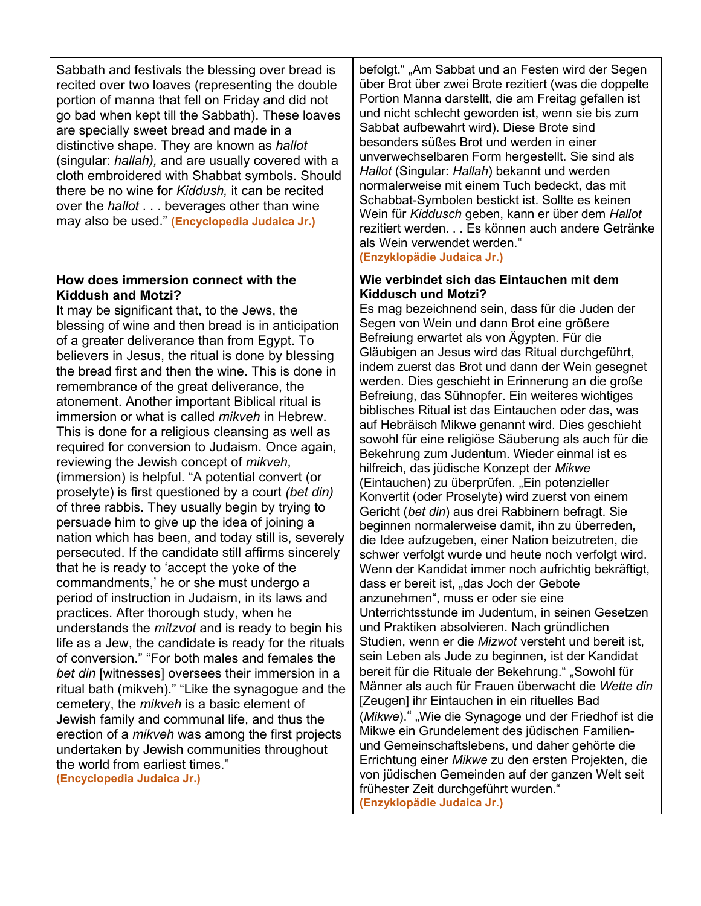| Sabbath and festivals the blessing over bread is<br>recited over two loaves (representing the double<br>portion of manna that fell on Friday and did not<br>go bad when kept till the Sabbath). These loaves<br>are specially sweet bread and made in a<br>distinctive shape. They are known as hallot<br>(singular: hallah), and are usually covered with a<br>cloth embroidered with Shabbat symbols. Should<br>there be no wine for Kiddush, it can be recited<br>over the hallot beverages other than wine<br>may also be used." (Encyclopedia Judaica Jr.)                                                                                                                                                                                                                                                                                                                                                                                                                                                                                                                                                                                                                                                                                                                                                                                                                                                                                                                                                                                                                                                                                                                     | befolgt." "Am Sabbat und an Festen wird der Segen<br>über Brot über zwei Brote rezitiert (was die doppelte<br>Portion Manna darstellt, die am Freitag gefallen ist<br>und nicht schlecht geworden ist, wenn sie bis zum<br>Sabbat aufbewahrt wird). Diese Brote sind<br>besonders süßes Brot und werden in einer<br>unverwechselbaren Form hergestellt. Sie sind als<br>Hallot (Singular: Hallah) bekannt und werden<br>normalerweise mit einem Tuch bedeckt, das mit<br>Schabbat-Symbolen bestickt ist. Sollte es keinen<br>Wein für Kiddusch geben, kann er über dem Hallot<br>rezitiert werden. Es können auch andere Getränke<br>als Wein verwendet werden."<br>(Enzyklopädie Judaica Jr.)                                                                                                                                                                                                                                                                                                                                                                                                                                                                                                                                                                                                                                                                                                                                                                                                                                                                                                                                                                                                                     |
|-------------------------------------------------------------------------------------------------------------------------------------------------------------------------------------------------------------------------------------------------------------------------------------------------------------------------------------------------------------------------------------------------------------------------------------------------------------------------------------------------------------------------------------------------------------------------------------------------------------------------------------------------------------------------------------------------------------------------------------------------------------------------------------------------------------------------------------------------------------------------------------------------------------------------------------------------------------------------------------------------------------------------------------------------------------------------------------------------------------------------------------------------------------------------------------------------------------------------------------------------------------------------------------------------------------------------------------------------------------------------------------------------------------------------------------------------------------------------------------------------------------------------------------------------------------------------------------------------------------------------------------------------------------------------------------|--------------------------------------------------------------------------------------------------------------------------------------------------------------------------------------------------------------------------------------------------------------------------------------------------------------------------------------------------------------------------------------------------------------------------------------------------------------------------------------------------------------------------------------------------------------------------------------------------------------------------------------------------------------------------------------------------------------------------------------------------------------------------------------------------------------------------------------------------------------------------------------------------------------------------------------------------------------------------------------------------------------------------------------------------------------------------------------------------------------------------------------------------------------------------------------------------------------------------------------------------------------------------------------------------------------------------------------------------------------------------------------------------------------------------------------------------------------------------------------------------------------------------------------------------------------------------------------------------------------------------------------------------------------------------------------------------------------------|
| How does immersion connect with the<br><b>Kiddush and Motzi?</b><br>It may be significant that, to the Jews, the<br>blessing of wine and then bread is in anticipation<br>of a greater deliverance than from Egypt. To<br>believers in Jesus, the ritual is done by blessing<br>the bread first and then the wine. This is done in<br>remembrance of the great deliverance, the<br>atonement. Another important Biblical ritual is<br>immersion or what is called <i>mikveh</i> in Hebrew.<br>This is done for a religious cleansing as well as<br>required for conversion to Judaism. Once again,<br>reviewing the Jewish concept of <i>mikveh</i> ,<br>(immersion) is helpful. "A potential convert (or<br>proselyte) is first questioned by a court (bet din)<br>of three rabbis. They usually begin by trying to<br>persuade him to give up the idea of joining a<br>nation which has been, and today still is, severely<br>persecuted. If the candidate still affirms sincerely<br>that he is ready to 'accept the yoke of the<br>commandments,' he or she must undergo a<br>period of instruction in Judaism, in its laws and<br>practices. After thorough study, when he<br>understands the <i>mitzvot</i> and is ready to begin his<br>life as a Jew, the candidate is ready for the rituals<br>of conversion." "For both males and females the<br>bet din [witnesses] oversees their immersion in a<br>ritual bath (mikveh)." "Like the synagogue and the<br>cemetery, the <i>mikveh</i> is a basic element of<br>Jewish family and communal life, and thus the<br>erection of a <i>mikveh</i> was among the first projects<br>undertaken by Jewish communities throughout | Wie verbindet sich das Eintauchen mit dem<br><b>Kiddusch und Motzi?</b><br>Es mag bezeichnend sein, dass für die Juden der<br>Segen von Wein und dann Brot eine größere<br>Befreiung erwartet als von Ägypten. Für die<br>Gläubigen an Jesus wird das Ritual durchgeführt,<br>indem zuerst das Brot und dann der Wein gesegnet<br>werden. Dies geschieht in Erinnerung an die große<br>Befreiung, das Sühnopfer. Ein weiteres wichtiges<br>biblisches Ritual ist das Eintauchen oder das, was<br>auf Hebräisch Mikwe genannt wird. Dies geschieht<br>sowohl für eine religiöse Säuberung als auch für die<br>Bekehrung zum Judentum. Wieder einmal ist es<br>hilfreich, das jüdische Konzept der Mikwe<br>(Eintauchen) zu überprüfen. "Ein potenzieller<br>Konvertit (oder Proselyte) wird zuerst von einem<br>Gericht (bet din) aus drei Rabbinern befragt. Sie<br>beginnen normalerweise damit, ihn zu überreden,<br>die Idee aufzugeben, einer Nation beizutreten, die<br>schwer verfolgt wurde und heute noch verfolgt wird.<br>Wenn der Kandidat immer noch aufrichtig bekräftigt,<br>dass er bereit ist, "das Joch der Gebote<br>anzunehmen", muss er oder sie eine<br>Unterrichtsstunde im Judentum, in seinen Gesetzen<br>und Praktiken absolvieren. Nach gründlichen<br>Studien, wenn er die Mizwot versteht und bereit ist,<br>sein Leben als Jude zu beginnen, ist der Kandidat<br>bereit für die Rituale der Bekehrung." "Sowohl für<br>Männer als auch für Frauen überwacht die Wette din<br>[Zeugen] ihr Eintauchen in ein rituelles Bad<br>(Mikwe).", Wie die Synagoge und der Friedhof ist die<br>Mikwe ein Grundelement des jüdischen Familien-<br>und Gemeinschaftslebens, und daher gehörte die |
| the world from earliest times."<br>(Encyclopedia Judaica Jr.)                                                                                                                                                                                                                                                                                                                                                                                                                                                                                                                                                                                                                                                                                                                                                                                                                                                                                                                                                                                                                                                                                                                                                                                                                                                                                                                                                                                                                                                                                                                                                                                                                       | Errichtung einer Mikwe zu den ersten Projekten, die<br>von jüdischen Gemeinden auf der ganzen Welt seit<br>frühester Zeit durchgeführt wurden."                                                                                                                                                                                                                                                                                                                                                                                                                                                                                                                                                                                                                                                                                                                                                                                                                                                                                                                                                                                                                                                                                                                                                                                                                                                                                                                                                                                                                                                                                                                                                                    |

**(Enzyklopädie Judaica Jr.)**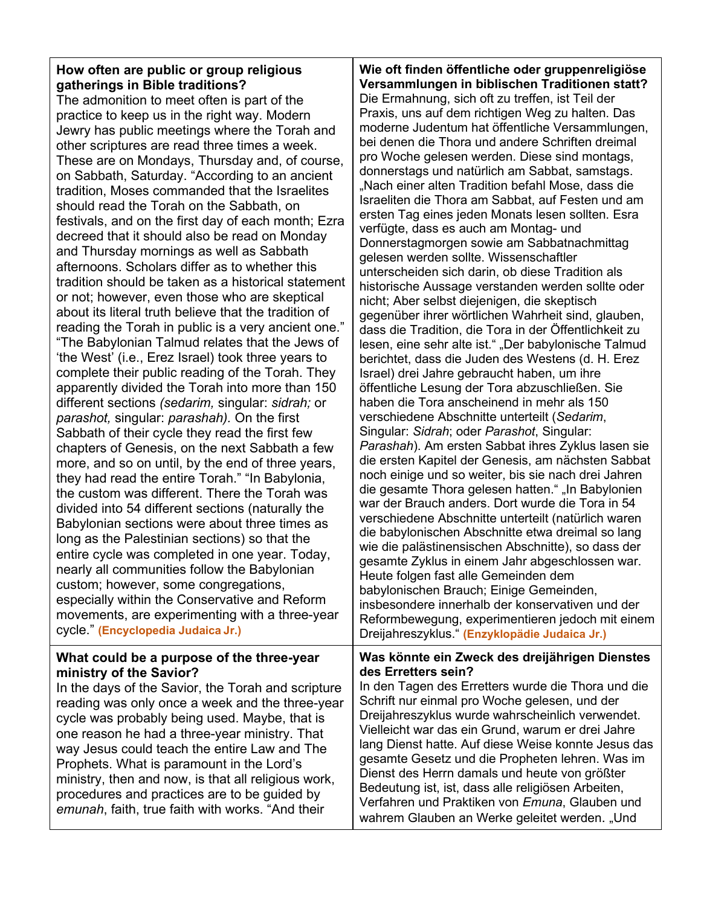## **How often are public or group religious gatherings in Bible traditions?**

The admonition to meet often is part of the practice to keep us in the right way. Modern Jewry has public meetings where the Torah and other scriptures are read three times a week. These are on Mondays, Thursday and, of course, on Sabbath, Saturday. "According to an ancient tradition, Moses commanded that the Israelites should read the Torah on the Sabbath, on festivals, and on the first day of each month; Ezra decreed that it should also be read on Monday and Thursday mornings as well as Sabbath afternoons. Scholars differ as to whether this tradition should be taken as a historical statement or not; however, even those who are skeptical about its literal truth believe that the tradition of reading the Torah in public is a very ancient one." "The Babylonian Talmud relates that the Jews of 'the West' (i.e., Erez Israel) took three years to complete their public reading of the Torah. They apparently divided the Torah into more than 150 different sections *(sedarim,* singular: *sidrah;* or *parashot,* singular: *parashah).* On the first Sabbath of their cycle they read the first few chapters of Genesis, on the next Sabbath a few more, and so on until, by the end of three years, they had read the entire Torah." "In Babylonia, the custom was different. There the Torah was divided into 54 different sections (naturally the Babylonian sections were about three times as long as the Palestinian sections) so that the entire cycle was completed in one year. Today, nearly all communities follow the Babylonian custom; however, some congregations, especially within the Conservative and Reform movements, are experimenting with a three-year cycle." **(Encyclopedia Judaica Jr.)**

## **What could be a purpose of the three-year ministry of the Savior?**

In the days of the Savior, the Torah and scripture reading was only once a week and the three-year cycle was probably being used. Maybe, that is one reason he had a three-year ministry. That way Jesus could teach the entire Law and The Prophets. What is paramount in the Lord's ministry, then and now, is that all religious work, procedures and practices are to be guided by *emunah*, faith, true faith with works. "And their

**Wie oft finden öffentliche oder gruppenreligiöse Versammlungen in biblischen Traditionen statt?** Die Ermahnung, sich oft zu treffen, ist Teil der Praxis, uns auf dem richtigen Weg zu halten. Das moderne Judentum hat öffentliche Versammlungen, bei denen die Thora und andere Schriften dreimal pro Woche gelesen werden. Diese sind montags, donnerstags und natürlich am Sabbat, samstags. "Nach einer alten Tradition befahl Mose, dass die Israeliten die Thora am Sabbat, auf Festen und am ersten Tag eines jeden Monats lesen sollten. Esra verfügte, dass es auch am Montag- und Donnerstagmorgen sowie am Sabbatnachmittag gelesen werden sollte. Wissenschaftler unterscheiden sich darin, ob diese Tradition als historische Aussage verstanden werden sollte oder nicht; Aber selbst diejenigen, die skeptisch gegenüber ihrer wörtlichen Wahrheit sind, glauben, dass die Tradition, die Tora in der Öffentlichkeit zu lesen, eine sehr alte ist." "Der babylonische Talmud berichtet, dass die Juden des Westens (d. H. Erez Israel) drei Jahre gebraucht haben, um ihre öffentliche Lesung der Tora abzuschließen. Sie haben die Tora anscheinend in mehr als 150 verschiedene Abschnitte unterteilt (*Sedarim*, Singular: *Sidrah*; oder *Parashot*, Singular: *Parashah*). Am ersten Sabbat ihres Zyklus lasen sie die ersten Kapitel der Genesis, am nächsten Sabbat noch einige und so weiter, bis sie nach drei Jahren die gesamte Thora gelesen hatten." "In Babylonien war der Brauch anders. Dort wurde die Tora in 54 verschiedene Abschnitte unterteilt (natürlich waren die babylonischen Abschnitte etwa dreimal so lang wie die palästinensischen Abschnitte), so dass der gesamte Zyklus in einem Jahr abgeschlossen war. Heute folgen fast alle Gemeinden dem babylonischen Brauch; Einige Gemeinden, insbesondere innerhalb der konservativen und der Reformbewegung, experimentieren jedoch mit einem Dreijahreszyklus." **(Enzyklopädie Judaica Jr.)**

## **Was könnte ein Zweck des dreijährigen Dienstes des Erretters sein?**

In den Tagen des Erretters wurde die Thora und die Schrift nur einmal pro Woche gelesen, und der Dreijahreszyklus wurde wahrscheinlich verwendet. Vielleicht war das ein Grund, warum er drei Jahre lang Dienst hatte. Auf diese Weise konnte Jesus das gesamte Gesetz und die Propheten lehren. Was im Dienst des Herrn damals und heute von größter Bedeutung ist, ist, dass alle religiösen Arbeiten, Verfahren und Praktiken von *Emuna*, Glauben und wahrem Glauben an Werke geleitet werden. "Und